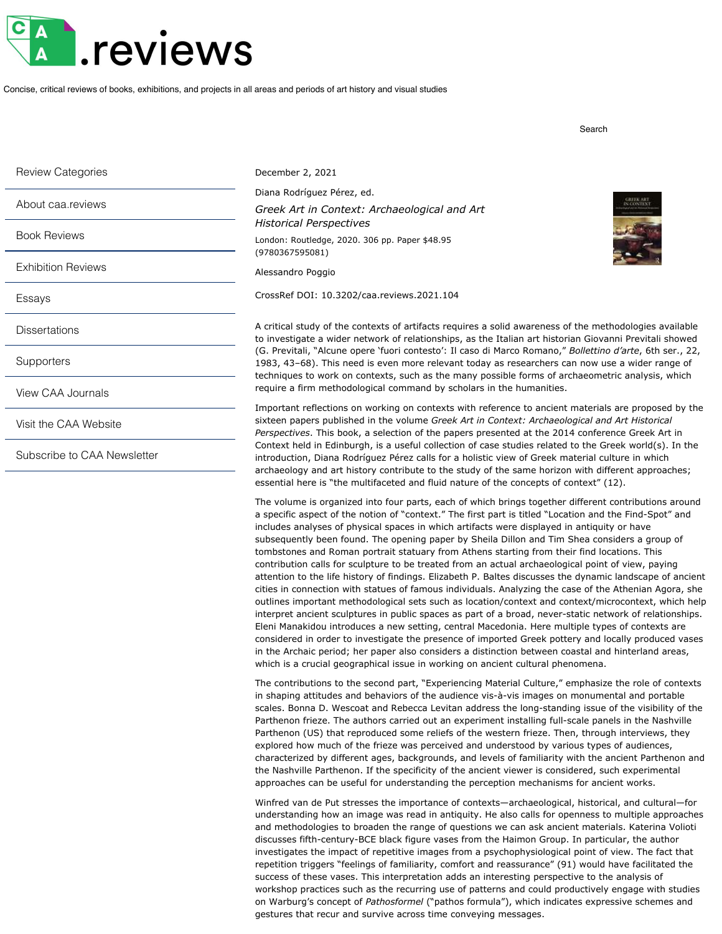## .reviews

Concise, critical reviews of books, exhibitions, and projects in all areas and periods of art history and visual studies

Review Categories About caa.reviews [Book Reviews](http://caareviews.org/reviews/book) [Exhibition](http://caareviews.org/reviews/exhibition) Reviews [Essays](http://caareviews.org/reviews/essay) **[Dissertations](http://caareviews.org/dissertations) [Supporters](http://caareviews.org/about/supporters)** View CAA [Journals](https://www.collegeart.org/publications) Visit the CAA [Website](http://www.collegeart.org/) Subscribe to CAA [Newsletter](http://www.collegeart.org/newsletter)

December 2, 2021

Diana Rodríguez Pérez, ed. *Greek Art in Context: Archaeological and Art*

*Historical Perspectives* London: [Routledge](http://www.routledge.com/), 2020. 306 pp. Paper \$48.95 (9780367595081)

[Alessandro Poggio](http://caareviews.org/reviewers/3171)

[CrossRef DOI: 10.3202/caa.reviews.2021.104](http://dx.doi.org/10.3202/caa.reviews.2021.104)

A critical study of the contexts of artifacts requires a solid awareness of the methodologies available to investigate a wider network of relationships, as the Italian art historian Giovanni Previtali showed (G. Previtali, "Alcune opere 'fuori contesto': Il caso di Marco Romano," *Bollettino d'arte*, 6th ser., 22, 1983, 43–68). This need is even more relevant today as researchers can now use a wider range of techniques to work on contexts, such as the many possible forms of archaeometric analysis, which require a firm methodological command by scholars in the humanities.

Important reflections on working on contexts with reference to ancient materials are proposed by the sixteen papers published in the volume *Greek Art in Context: Archaeological and Art Historical Perspectives*. This book, a selection of the papers presented at the 2014 conference Greek Art in Context held in Edinburgh, is a useful collection of case studies related to the Greek world(s). In the introduction, Diana Rodríguez Pérez calls for a holistic view of Greek material culture in which archaeology and art history contribute to the study of the same horizon with different approaches; essential here is "the multifaceted and fluid nature of the concepts of context" (12).

The volume is organized into four parts, each of which brings together different contributions around a specific aspect of the notion of "context." The first part is titled "Location and the Find-Spot" and includes analyses of physical spaces in which artifacts were displayed in antiquity or have subsequently been found. The opening paper by Sheila Dillon and Tim Shea considers a group of tombstones and Roman portrait statuary from Athens starting from their find locations. This contribution calls for sculpture to be treated from an actual archaeological point of view, paying attention to the life history of findings. Elizabeth P. Baltes discusses the dynamic landscape of ancient cities in connection with statues of famous individuals. Analyzing the case of the Athenian Agora, she outlines important methodological sets such as location/context and context/microcontext, which help interpret ancient sculptures in public spaces as part of a broad, never-static network of relationships. Eleni Manakidou introduces a new setting, central Macedonia. Here multiple types of contexts are considered in order to investigate the presence of imported Greek pottery and locally produced vases in the Archaic period; her paper also considers a distinction between coastal and hinterland areas, which is a crucial geographical issue in working on ancient cultural phenomena.

The contributions to the second part, "Experiencing Material Culture," emphasize the role of contexts in shaping attitudes and behaviors of the audience vis-à-vis images on monumental and portable scales. Bonna D. Wescoat and Rebecca Levitan address the long-standing issue of the visibility of the Parthenon frieze. The authors carried out an experiment installing full-scale panels in the Nashville Parthenon (US) that reproduced some reliefs of the western frieze. Then, through interviews, they explored how much of the frieze was perceived and understood by various types of audiences, characterized by different ages, backgrounds, and levels of familiarity with the ancient Parthenon and the Nashville Parthenon. If the specificity of the ancient viewer is considered, such experimental approaches can be useful for understanding the perception mechanisms for ancient works.

Winfred van de Put stresses the importance of contexts—archaeological, historical, and cultural—for understanding how an image was read in antiquity. He also calls for openness to multiple approaches and methodologies to broaden the range of questions we can ask ancient materials. Katerina Volioti discusses fifth-century-BCE black figure vases from the Haimon Group. In particular, the author investigates the impact of repetitive images from a psychophysiological point of view. The fact that repetition triggers "feelings of familiarity, comfort and reassurance" (91) would have facilitated the success of these vases. This interpretation adds an interesting perspective to the analysis of workshop practices such as the recurring use of patterns and could productively engage with studies on Warburg's concept of *Pathosformel* ("pathos formula"), which indicates expressive schemes and gestures that recur and survive across time conveying messages.



Search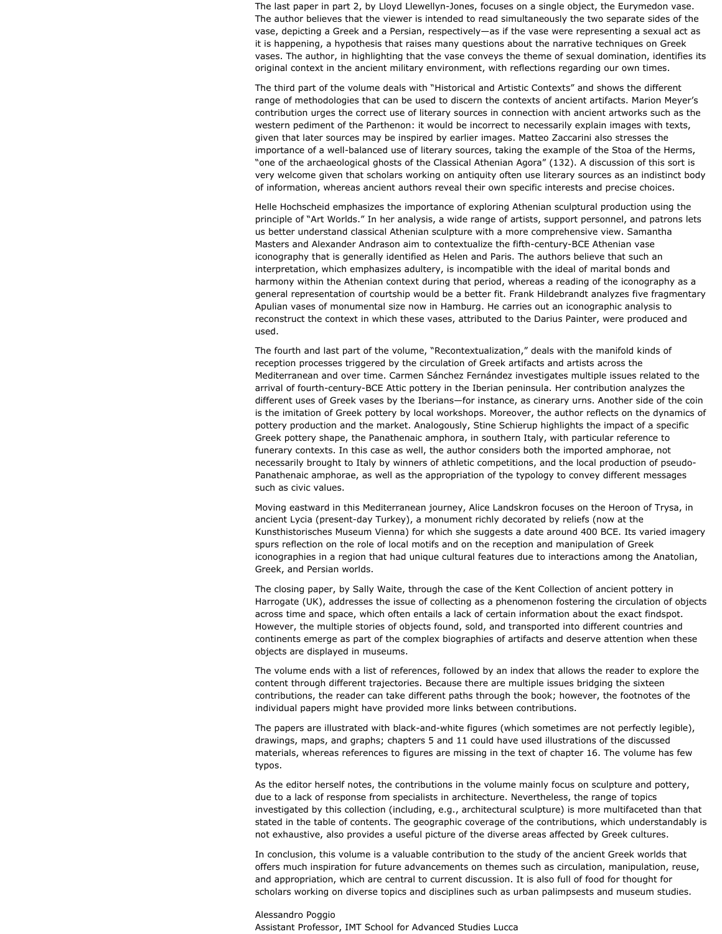The last paper in part 2, by Lloyd Llewellyn-Jones, focuses on a single object, the Eurymedon vase. The author believes that the viewer is intended to read simultaneously the two separate sides of the vase, depicting a Greek and a Persian, respectively—as if the vase were representing a sexual act as it is happening, a hypothesis that raises many questions about the narrative techniques on Greek vases. The author, in highlighting that the vase conveys the theme of sexual domination, identifies its original context in the ancient military environment, with reflections regarding our own times.

The third part of the volume deals with "Historical and Artistic Contexts" and shows the different range of methodologies that can be used to discern the contexts of ancient artifacts. Marion Meyer's contribution urges the correct use of literary sources in connection with ancient artworks such as the western pediment of the Parthenon: it would be incorrect to necessarily explain images with texts, given that later sources may be inspired by earlier images. Matteo Zaccarini also stresses the importance of a well-balanced use of literary sources, taking the example of the Stoa of the Herms, "one of the archaeological ghosts of the Classical Athenian Agora" (132). A discussion of this sort is very welcome given that scholars working on antiquity often use literary sources as an indistinct body of information, whereas ancient authors reveal their own specific interests and precise choices.

Helle Hochscheid emphasizes the importance of exploring Athenian sculptural production using the principle of "Art Worlds." In her analysis, a wide range of artists, support personnel, and patrons lets us better understand classical Athenian sculpture with a more comprehensive view. Samantha Masters and Alexander Andrason aim to contextualize the fifth-century-BCE Athenian vase iconography that is generally identified as Helen and Paris. The authors believe that such an interpretation, which emphasizes adultery, is incompatible with the ideal of marital bonds and harmony within the Athenian context during that period, whereas a reading of the iconography as a general representation of courtship would be a better fit. Frank Hildebrandt analyzes five fragmentary Apulian vases of monumental size now in Hamburg. He carries out an iconographic analysis to reconstruct the context in which these vases, attributed to the Darius Painter, were produced and used.

The fourth and last part of the volume, "Recontextualization," deals with the manifold kinds of reception processes triggered by the circulation of Greek artifacts and artists across the Mediterranean and over time. Carmen Sánchez Fernández investigates multiple issues related to the arrival of fourth-century-BCE Attic pottery in the Iberian peninsula. Her contribution analyzes the different uses of Greek vases by the Iberians—for instance, as cinerary urns. Another side of the coin is the imitation of Greek pottery by local workshops. Moreover, the author reflects on the dynamics of pottery production and the market. Analogously, Stine Schierup highlights the impact of a specific Greek pottery shape, the Panathenaic amphora, in southern Italy, with particular reference to funerary contexts. In this case as well, the author considers both the imported amphorae, not necessarily brought to Italy by winners of athletic competitions, and the local production of pseudo-Panathenaic amphorae, as well as the appropriation of the typology to convey different messages such as civic values.

Moving eastward in this Mediterranean journey, Alice Landskron focuses on the Heroon of Trysa, in ancient Lycia (present-day Turkey), a monument richly decorated by reliefs (now at the Kunsthistorisches Museum Vienna) for which she suggests a date around 400 BCE. Its varied imagery spurs reflection on the role of local motifs and on the reception and manipulation of Greek iconographies in a region that had unique cultural features due to interactions among the Anatolian, Greek, and Persian worlds.

The closing paper, by Sally Waite, through the case of the Kent Collection of ancient pottery in Harrogate (UK), addresses the issue of collecting as a phenomenon fostering the circulation of objects across time and space, which often entails a lack of certain information about the exact findspot. However, the multiple stories of objects found, sold, and transported into different countries and continents emerge as part of the complex biographies of artifacts and deserve attention when these objects are displayed in museums.

The volume ends with a list of references, followed by an index that allows the reader to explore the content through different trajectories. Because there are multiple issues bridging the sixteen contributions, the reader can take different paths through the book; however, the footnotes of the individual papers might have provided more links between contributions.

The papers are illustrated with black-and-white figures (which sometimes are not perfectly legible), drawings, maps, and graphs; chapters 5 and 11 could have used illustrations of the discussed materials, whereas references to figures are missing in the text of chapter 16. The volume has few typos.

As the editor herself notes, the contributions in the volume mainly focus on sculpture and pottery, due to a lack of response from specialists in architecture. Nevertheless, the range of topics investigated by this collection (including, e.g., architectural sculpture) is more multifaceted than that stated in the table of contents. The geographic coverage of the contributions, which understandably is not exhaustive, also provides a useful picture of the diverse areas affected by Greek cultures.

In conclusion, this volume is a valuable contribution to the study of the ancient Greek worlds that offers much inspiration for future advancements on themes such as circulation, manipulation, reuse, and appropriation, which are central to current discussion. It is also full of food for thought for scholars working on diverse topics and disciplines such as urban palimpsests and museum studies.

[Alessandro Poggio](http://caareviews.org/reviewers/3171) Assistant Professor, IMT School for Advanced Studies Lucca